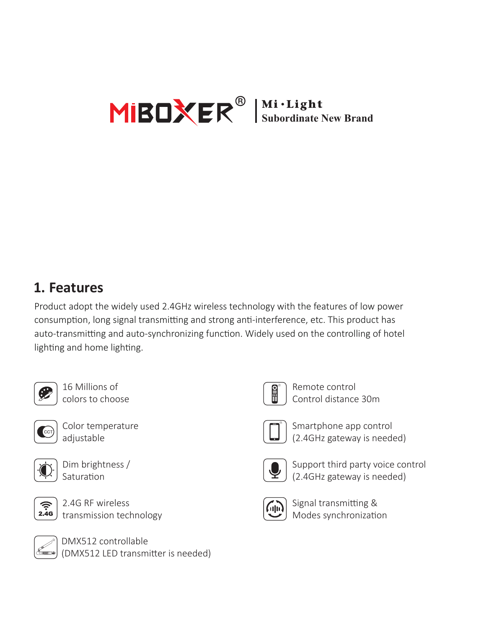

#### **1. Features**

Product adopt the widely used 2.4GHz wireless technology with the features of low power consumption, long signal transmitting and strong anti-interference, etc. This product has auto-transmitting and auto-synchronizing function. Widely used on the controlling of hotel lighting and home lighting.



16 Millions of colors to choose



Color temperature adjustable



Dim brightness / Saturation



2.4G RF wireless transmission technology



DMX512 controllable (DMX512 LED transmi�er is needed)



Remote control Control distance 30m



Smartphone app control (2.4GHz gateway is needed)



Support third party voice control (2.4GHz gateway is needed)



Signal transmitting & Modes synchronization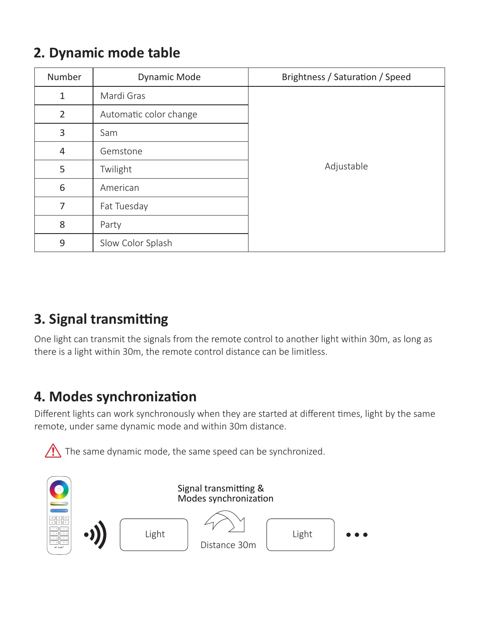### **2. Dynamic mode table**

| Number         | Dynamic Mode           | Brightness / Saturation / Speed |
|----------------|------------------------|---------------------------------|
| 1              | Mardi Gras             | Adjustable                      |
| $\overline{2}$ | Automatic color change |                                 |
| 3              | Sam                    |                                 |
| 4              | Gemstone               |                                 |
| 5              | Twilight               |                                 |
| 6              | American               |                                 |
| 7              | Fat Tuesday            |                                 |
| 8              | Party                  |                                 |
| 9              | Slow Color Splash      |                                 |

## **3. Signal transmitting**

One light can transmit the signals from the remote control to another light within 30m, as long as there is a light within 30m, the remote control distance can be limitless.

## **4. Modes synchronization**

Different lights can work synchronously when they are started at different times, light by the same remote, under same dynamic mode and within 30m distance.



The same dynamic mode, the same speed can be synchronized.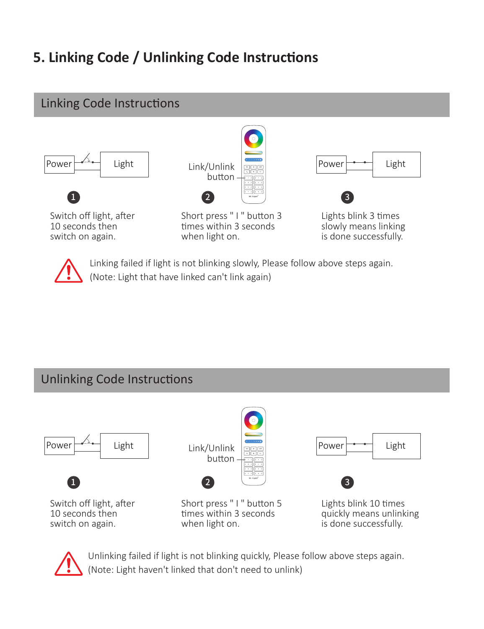# **5. Linking Code / Unlinking Code Instructions**

#### Linking Code Instructions





Link/Unlink button 1 2 3

Short press " I " button 3 times within 3 seconds when light on.



Lights blink 3 �mes slowly means linking is done successfully.



Linking failed if light is not blinking slowly, Please follow above steps again. (Note: Light that have linked can't link again)

#### Unlinking Code Instructions





Unlinking failed if light is not blinking quickly, Please follow above steps again. (Note: Light haven't linked that don't need to unlink)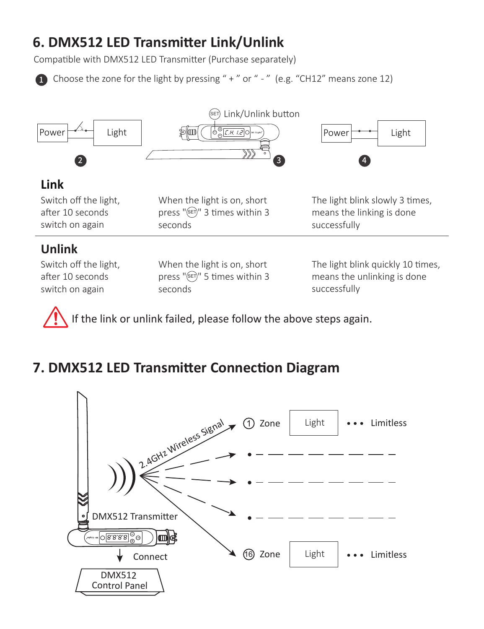## **6. DMX512 LED Transmi�er Link/Unlink**

Compatible with DMX512 LED Transmitter (Purchase separately)

1 Choose the zone for the light by pressing " + " or " - " (e.g. "CH12" means zone 12)



If the link or unlink failed, please follow the above steps again.

### **7. DMX512 LED Transmi�er Connec�on Diagram**